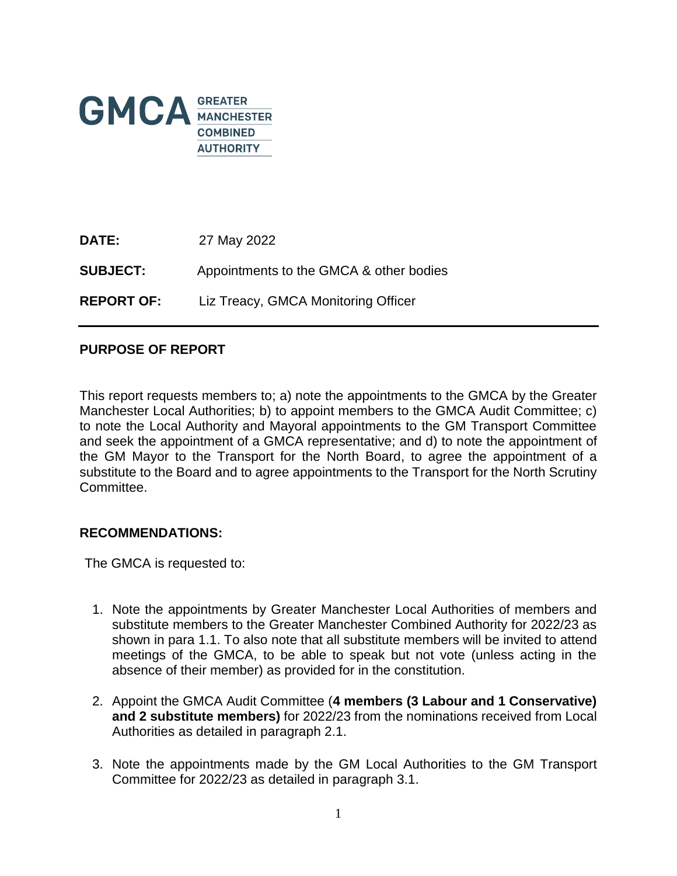

| <b>DATE:</b>      | 27 May 2022                             |
|-------------------|-----------------------------------------|
| <b>SUBJECT:</b>   | Appointments to the GMCA & other bodies |
| <b>REPORT OF:</b> | Liz Treacy, GMCA Monitoring Officer     |

## **PURPOSE OF REPORT**

This report requests members to; a) note the appointments to the GMCA by the Greater Manchester Local Authorities; b) to appoint members to the GMCA Audit Committee; c) to note the Local Authority and Mayoral appointments to the GM Transport Committee and seek the appointment of a GMCA representative; and d) to note the appointment of the GM Mayor to the Transport for the North Board, to agree the appointment of a substitute to the Board and to agree appointments to the Transport for the North Scrutiny Committee.

#### **RECOMMENDATIONS:**

The GMCA is requested to:

- 1. Note the appointments by Greater Manchester Local Authorities of members and substitute members to the Greater Manchester Combined Authority for 2022/23 as shown in para 1.1. To also note that all substitute members will be invited to attend meetings of the GMCA, to be able to speak but not vote (unless acting in the absence of their member) as provided for in the constitution.
- 2. Appoint the GMCA Audit Committee (**4 members (3 Labour and 1 Conservative) and 2 substitute members)** for 2022/23 from the nominations received from Local Authorities as detailed in paragraph 2.1.
- 3. Note the appointments made by the GM Local Authorities to the GM Transport Committee for 2022/23 as detailed in paragraph 3.1.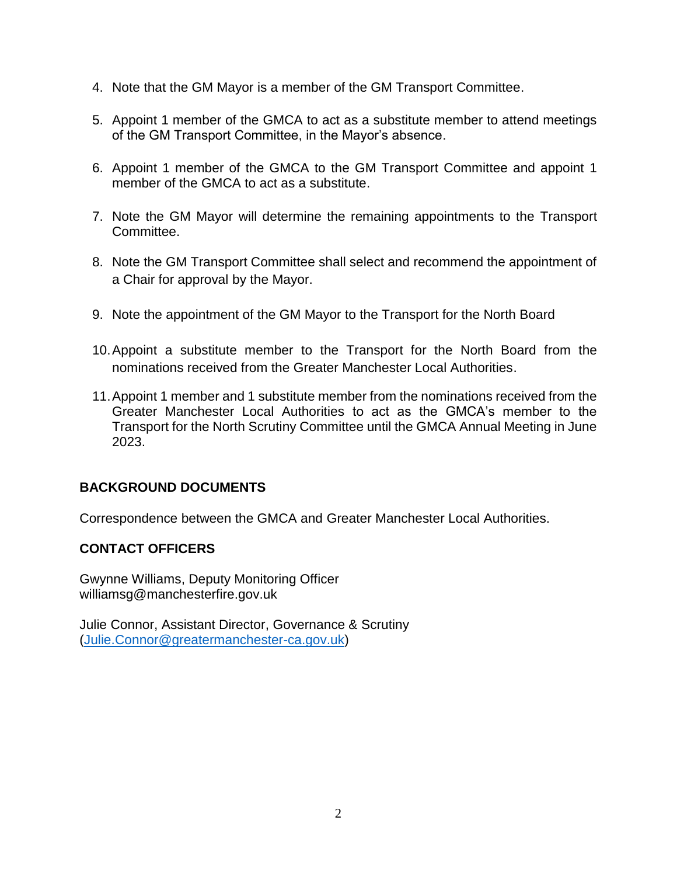- 4. Note that the GM Mayor is a member of the GM Transport Committee.
- 5. Appoint 1 member of the GMCA to act as a substitute member to attend meetings of the GM Transport Committee, in the Mayor's absence.
- 6. Appoint 1 member of the GMCA to the GM Transport Committee and appoint 1 member of the GMCA to act as a substitute.
- 7. Note the GM Mayor will determine the remaining appointments to the Transport Committee.
- 8. Note the GM Transport Committee shall select and recommend the appointment of a Chair for approval by the Mayor.
- 9. Note the appointment of the GM Mayor to the Transport for the North Board
- 10.Appoint a substitute member to the Transport for the North Board from the nominations received from the Greater Manchester Local Authorities.
- 11.Appoint 1 member and 1 substitute member from the nominations received from the Greater Manchester Local Authorities to act as the GMCA's member to the Transport for the North Scrutiny Committee until the GMCA Annual Meeting in June 2023.

# **BACKGROUND DOCUMENTS**

Correspondence between the GMCA and Greater Manchester Local Authorities.

### **CONTACT OFFICERS**

Gwynne Williams, Deputy Monitoring Officer williamsg@manchesterfire.gov.uk

Julie Connor, Assistant Director, Governance & Scrutiny [\(Julie.Connor@greatermanchester-ca.gov.uk\)](mailto:Julie.Connor@greatermanchester-ca.gov.uk)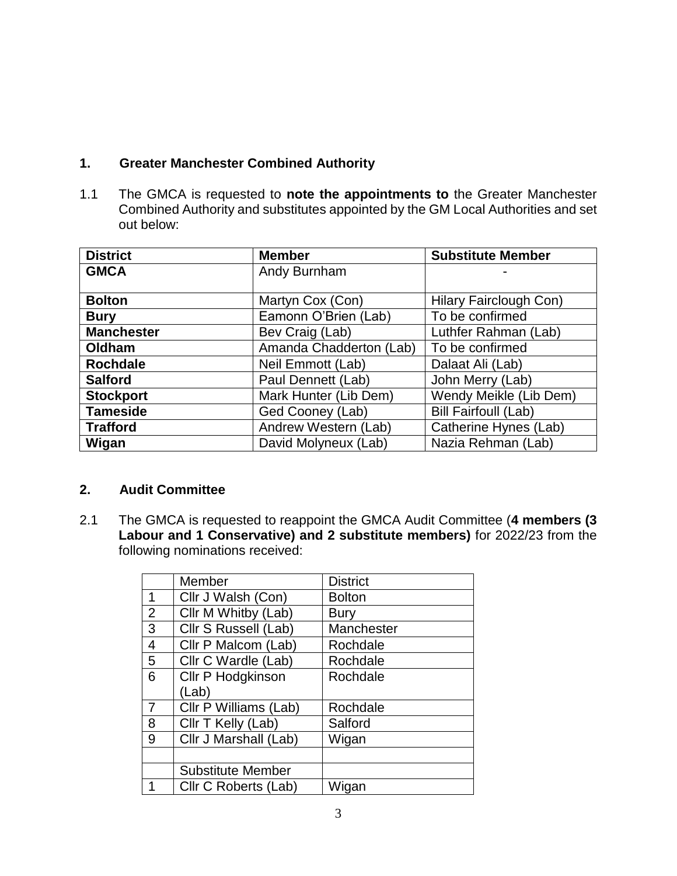# **1. Greater Manchester Combined Authority**

1.1 The GMCA is requested to **note the appointments to** the Greater Manchester Combined Authority and substitutes appointed by the GM Local Authorities and set out below:

| <b>District</b>   | <b>Member</b>           | <b>Substitute Member</b>    |
|-------------------|-------------------------|-----------------------------|
| <b>GMCA</b>       | Andy Burnham            |                             |
|                   |                         |                             |
| <b>Bolton</b>     | Martyn Cox (Con)        | Hilary Fairclough Con)      |
| <b>Bury</b>       | Eamonn O'Brien (Lab)    | To be confirmed             |
| <b>Manchester</b> | Bev Craig (Lab)         | Luthfer Rahman (Lab)        |
| Oldham            | Amanda Chadderton (Lab) | To be confirmed             |
| <b>Rochdale</b>   | Neil Emmott (Lab)       | Dalaat Ali (Lab)            |
| <b>Salford</b>    | Paul Dennett (Lab)      | John Merry (Lab)            |
| <b>Stockport</b>  | Mark Hunter (Lib Dem)   | Wendy Meikle (Lib Dem)      |
| <b>Tameside</b>   | Ged Cooney (Lab)        | <b>Bill Fairfoull (Lab)</b> |
| <b>Trafford</b>   | Andrew Western (Lab)    | Catherine Hynes (Lab)       |
| Wigan             | David Molyneux (Lab)    | Nazia Rehman (Lab)          |

### **2. Audit Committee**

2.1 The GMCA is requested to reappoint the GMCA Audit Committee (**4 members (3 Labour and 1 Conservative) and 2 substitute members)** for 2022/23 from the following nominations received:

|                | Member                   | <b>District</b> |
|----------------|--------------------------|-----------------|
| 1              | Cllr J Walsh (Con)       | <b>Bolton</b>   |
| $\overline{2}$ | Cllr M Whitby (Lab)      | <b>Bury</b>     |
| 3              | Cllr S Russell (Lab)     | Manchester      |
| $\overline{4}$ | Cllr P Malcom (Lab)      | Rochdale        |
| 5              | Cllr C Wardle (Lab)      | Rochdale        |
| 6              | Cllr P Hodgkinson        | Rochdale        |
|                | (Lab)                    |                 |
| $\overline{7}$ | Cllr P Williams (Lab)    | Rochdale        |
| 8              | Cllr T Kelly (Lab)       | Salford         |
| 9              | Cllr J Marshall (Lab)    | Wigan           |
|                |                          |                 |
|                | <b>Substitute Member</b> |                 |
|                | Cllr C Roberts (Lab)     | Wigan           |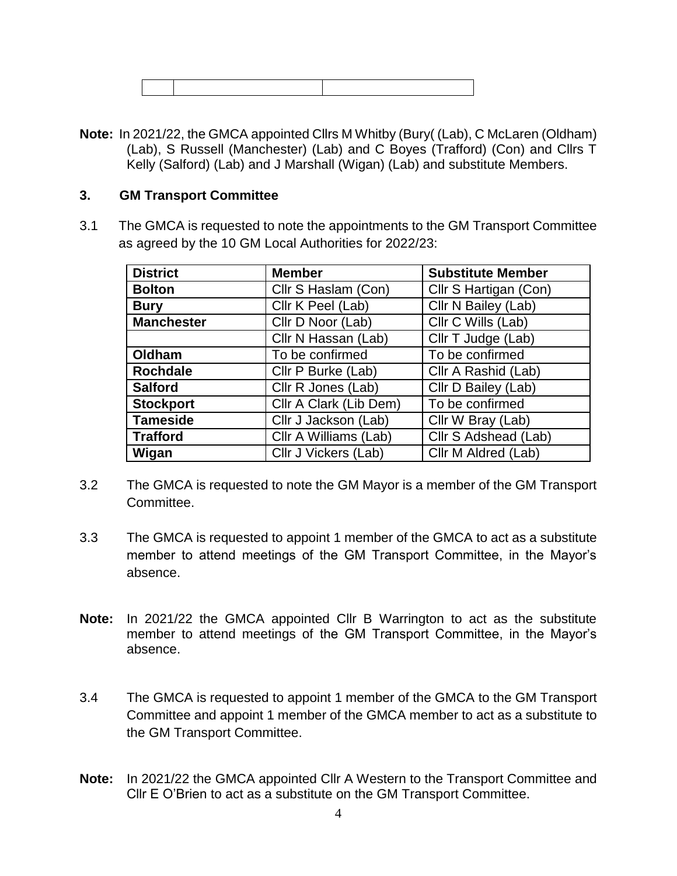**Note:** In 2021/22, the GMCA appointed Cllrs M Whitby (Bury( (Lab), C McLaren (Oldham) (Lab), S Russell (Manchester) (Lab) and C Boyes (Trafford) (Con) and Cllrs T Kelly (Salford) (Lab) and J Marshall (Wigan) (Lab) and substitute Members.

#### **3. GM Transport Committee**

3.1 The GMCA is requested to note the appointments to the GM Transport Committee as agreed by the 10 GM Local Authorities for 2022/23:

| <b>District</b>   | <b>Member</b>          | <b>Substitute Member</b> |
|-------------------|------------------------|--------------------------|
| <b>Bolton</b>     | Cllr S Haslam (Con)    | Cllr S Hartigan (Con)    |
| <b>Bury</b>       | Cllr K Peel (Lab)      | Cllr N Bailey (Lab)      |
| <b>Manchester</b> | Cllr D Noor (Lab)      | Cllr C Wills (Lab)       |
|                   | Cllr N Hassan (Lab)    | Cllr T Judge (Lab)       |
| Oldham            | To be confirmed        | To be confirmed          |
| <b>Rochdale</b>   | Cllr P Burke (Lab)     | Cllr A Rashid (Lab)      |
| <b>Salford</b>    | Cllr R Jones (Lab)     | Cllr D Bailey (Lab)      |
| <b>Stockport</b>  | Cllr A Clark (Lib Dem) | To be confirmed          |
| <b>Tameside</b>   | Cllr J Jackson (Lab)   | Cllr W Bray (Lab)        |
| <b>Trafford</b>   | Cllr A Williams (Lab)  | Cllr S Adshead (Lab)     |
| Wigan             | Cllr J Vickers (Lab)   | Cllr M Aldred (Lab)      |

- 3.2 The GMCA is requested to note the GM Mayor is a member of the GM Transport Committee.
- 3.3 The GMCA is requested to appoint 1 member of the GMCA to act as a substitute member to attend meetings of the GM Transport Committee, in the Mayor's absence.
- **Note:** In 2021/22 the GMCA appointed Cllr B Warrington to act as the substitute member to attend meetings of the GM Transport Committee, in the Mayor's absence.
- 3.4 The GMCA is requested to appoint 1 member of the GMCA to the GM Transport Committee and appoint 1 member of the GMCA member to act as a substitute to the GM Transport Committee.
- **Note:** In 2021/22 the GMCA appointed Cllr A Western to the Transport Committee and Cllr E O'Brien to act as a substitute on the GM Transport Committee.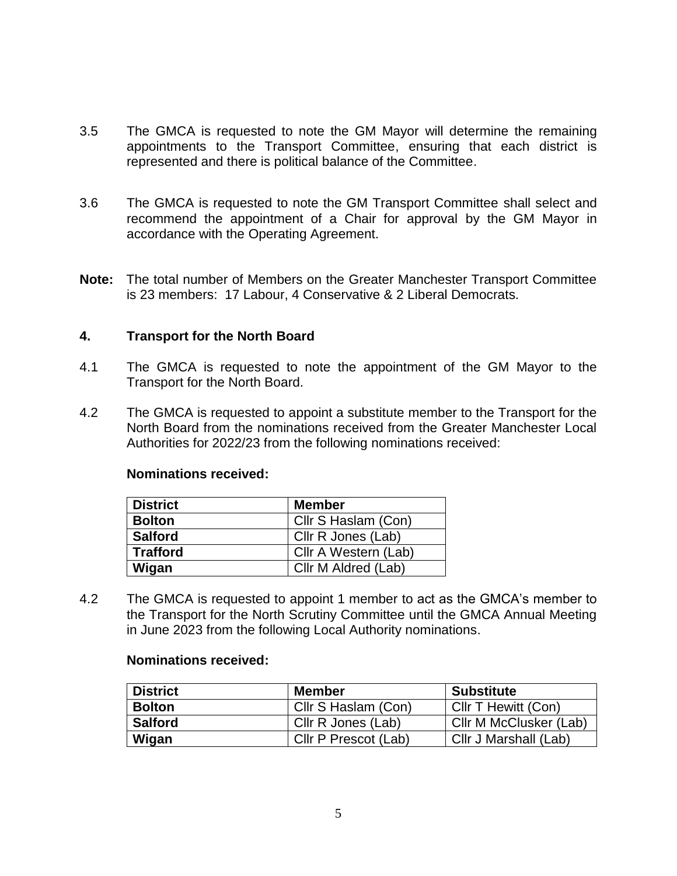- 3.5 The GMCA is requested to note the GM Mayor will determine the remaining appointments to the Transport Committee, ensuring that each district is represented and there is political balance of the Committee.
- 3.6 The GMCA is requested to note the GM Transport Committee shall select and recommend the appointment of a Chair for approval by the GM Mayor in accordance with the Operating Agreement.
- **Note:** The total number of Members on the Greater Manchester Transport Committee is 23 members: 17 Labour, 4 Conservative & 2 Liberal Democrats.

### **4. Transport for the North Board**

- 4.1 The GMCA is requested to note the appointment of the GM Mayor to the Transport for the North Board.
- 4.2 The GMCA is requested to appoint a substitute member to the Transport for the North Board from the nominations received from the Greater Manchester Local Authorities for 2022/23 from the following nominations received:

#### **Nominations received:**

| <b>District</b> | <b>Member</b>        |
|-----------------|----------------------|
| <b>Bolton</b>   | Cllr S Haslam (Con)  |
| <b>Salford</b>  | Cllr R Jones (Lab)   |
| <b>Trafford</b> | Cllr A Western (Lab) |
| Wigan           | Cllr M Aldred (Lab)  |

4.2 The GMCA is requested to appoint 1 member to act as the GMCA's member to the Transport for the North Scrutiny Committee until the GMCA Annual Meeting in June 2023 from the following Local Authority nominations.

#### **Nominations received:**

| <b>District</b> | Member               | <b>Substitute</b>      |
|-----------------|----------------------|------------------------|
| <b>Bolton</b>   | Cllr S Haslam (Con)  | CIIr T Hewitt (Con)    |
| <b>Salford</b>  | Cllr R Jones (Lab)   | Cllr M McClusker (Lab) |
| Wigan           | Cllr P Prescot (Lab) | Cllr J Marshall (Lab)  |